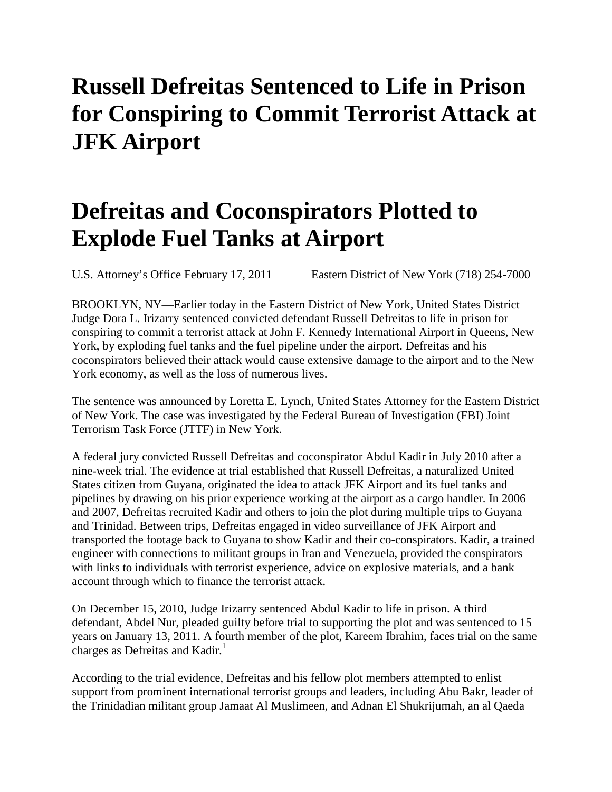## **Russell Defreitas Sentenced to Life in Prison for Conspiring to Commit Terrorist Attack at JFK Airport**

## **Defreitas and Coconspirators Plotted to Explode Fuel Tanks at Airport**

U.S. Attorney's Office February 17, 2011 Eastern District of New York (718) 254-7000

BROOKLYN, NY—Earlier today in the Eastern District of New York, United States District Judge Dora L. Irizarry sentenced convicted defendant Russell Defreitas to life in prison for conspiring to commit a terrorist attack at John F. Kennedy International Airport in Queens, New York, by exploding fuel tanks and the fuel pipeline under the airport. Defreitas and his coconspirators believed their attack would cause extensive damage to the airport and to the New York economy, as well as the loss of numerous lives.

The sentence was announced by Loretta E. Lynch, United States Attorney for the Eastern District of New York. The case was investigated by the Federal Bureau of Investigation (FBI) Joint Terrorism Task Force (JTTF) in New York.

A federal jury convicted Russell Defreitas and coconspirator Abdul Kadir in July 2010 after a nine-week trial. The evidence at trial established that Russell Defreitas, a naturalized United States citizen from Guyana, originated the idea to attack JFK Airport and its fuel tanks and pipelines by drawing on his prior experience working at the airport as a cargo handler. In 2006 and 2007, Defreitas recruited Kadir and others to join the plot during multiple trips to Guyana and Trinidad. Between trips, Defreitas engaged in video surveillance of JFK Airport and transported the footage back to Guyana to show Kadir and their co-conspirators. Kadir, a trained engineer with connections to militant groups in Iran and Venezuela, provided the conspirators with links to individuals with terrorist experience, advice on explosive materials, and a bank account through which to finance the terrorist attack.

On December 15, 2010, Judge Irizarry sentenced Abdul Kadir to life in prison. A third defendant, Abdel Nur, pleaded guilty before trial to supporting the plot and was sentenced to 15 years on January 13, 2011. A fourth member of the plot, Kareem Ibrahim, faces trial on the same charges as Defreitas and Kadir.<sup>1</sup>

According to the trial evidence, Defreitas and his fellow plot members attempted to enlist support from prominent international terrorist groups and leaders, including Abu Bakr, leader of the Trinidadian militant group Jamaat Al Muslimeen, and Adnan El Shukrijumah, an al Qaeda